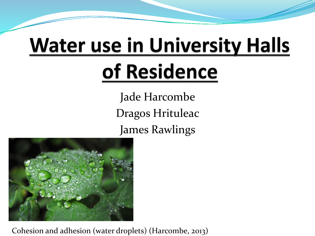# **Water use in University Halls**

### of Residence

Jade Harcombe Dragos Hrituleac James Rawlings



Cohesion and adhesion (water droplets) (Harcombe, 2013)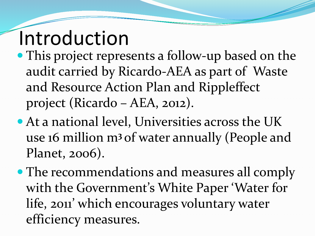# Introduction

- This project represents a follow-up based on the audit carried by Ricardo-AEA as part of Waste and Resource Action Plan and Rippleffect project (Ricardo – AEA, 2012).
- At a national level, Universities across the UK use 16 million m**<sup>3</sup>**of water annually (People and Planet, 2006).
- The recommendations and measures all comply with the Government's White Paper 'Water for life, 2011' which encourages voluntary water efficiency measures.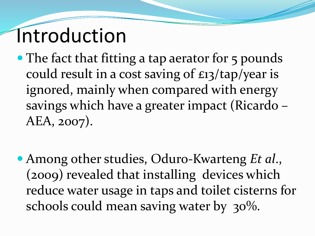### Introduction

- The fact that fitting a tap aerator for 5 pounds could result in a cost saving of £13/tap/year is ignored, mainly when compared with energy savings which have a greater impact (Ricardo – AEA, 2007).
- Among other studies, Oduro-Kwarteng *Et al*., (2009) revealed that installing devices which reduce water usage in taps and toilet cisterns for schools could mean saving water by 30%.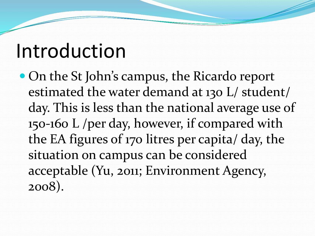### Introduction

• On the St John's campus, the Ricardo report estimated the water demand at 130 L/ student/ day. This is less than the national average use of 150-160 L /per day, however, if compared with the EA figures of 170 litres per capita/ day, the situation on campus can be considered acceptable (Yu, 2011; Environment Agency, 2008).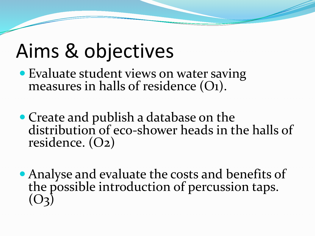### Aims & objectives

- Evaluate student views on water saving measures in halls of residence  $(O_1)$ .
- Create and publish a database on the distribution of eco-shower heads in the halls of residence. (O2)
- Analyse and evaluate the costs and benefits of the possible introduction of percussion taps.  $( )_2$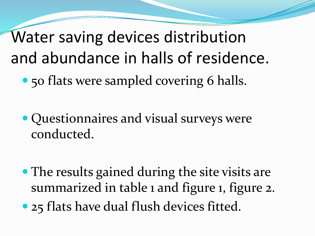• 50 flats were sampled covering 6 halls. Water saving devices distribution and abundance in halls of residence.

 Questionnaires and visual surveys were conducted.

• The results gained during the site visits are summarized in table 1 and figure 1, figure 2. • 25 flats have dual flush devices fitted.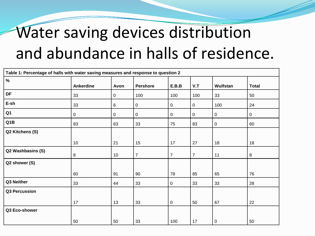### Water saving devices distribution and abundance in halls of residence.

| Table 1: Percentage of halls with water saving measures and response to question 2 |                  |             |                 |                |                |          |              |  |  |
|------------------------------------------------------------------------------------|------------------|-------------|-----------------|----------------|----------------|----------|--------------|--|--|
| $\%$                                                                               |                  |             |                 |                |                |          |              |  |  |
|                                                                                    | <b>Ankerdine</b> | Avon        | <b>Pershore</b> | E.B.B          | V.T            | Wulfstan | <b>Total</b> |  |  |
| DF                                                                                 | 33               | $\mathbf 0$ | 100             | 100            | 100            | 33       | 50           |  |  |
| E-sh                                                                               | 33               | 6           | 0               | 0              | 0              | 100      | 24           |  |  |
| Q <sub>1</sub>                                                                     | 0                | $\mathbf 0$ | $\mathbf 0$     | 0              | 0              | 0        | $\mathbf 0$  |  |  |
| Q <sub>1</sub> B                                                                   | 83               | 63          | 33              | 75             | 83             | 0        | 60           |  |  |
| Q2 Kitchens (S)                                                                    |                  |             |                 |                |                |          |              |  |  |
|                                                                                    | 10               | 21          | 15              | 17             | 27             | 18       | 18           |  |  |
| Q2 Washbasins (S)                                                                  | 8                | 10          | $\overline{7}$  | $\overline{7}$ | $\overline{7}$ | 11       | $\bf 8$      |  |  |
| Q2 shower (S)                                                                      |                  |             |                 |                |                |          |              |  |  |
|                                                                                    | 60               | 91          | 90              | 78             | 85             | 65       | 76           |  |  |
| Q3 Neither                                                                         | 33               | 44          | 33              | 0              | 33             | 33       | 28           |  |  |
| Q3 Percussion                                                                      |                  |             |                 |                |                |          |              |  |  |
|                                                                                    | 17               | 13          | 33              | $\mathbf 0$    | 50             | 67       | 22           |  |  |
| Q3 Eco-shower                                                                      |                  |             |                 |                |                |          |              |  |  |
|                                                                                    | 50               | 50          | 33              | 100            | 17             | 0        | 50           |  |  |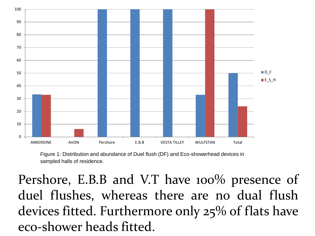

Figure 1: Distribution and abundance of Duel flush (DF) and Eco-showerhead devices in sampled halls of residence.

Pershore, E.B.B and V.T have 100% presence of duel flushes, whereas there are no dual flush devices fitted. Furthermore only 25% of flats have eco-shower heads fitted.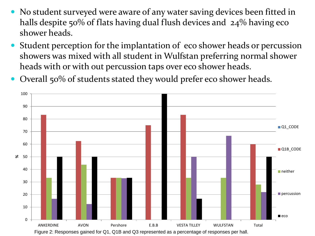- No student surveyed were aware of any water saving devices been fitted in halls despite 50% of flats having dual flush devices and 24% having eco shower heads.
- Student perception for the implantation of eco shower heads or percussion showers was mixed with all student in Wulfstan preferring normal shower heads with or with out percussion taps over eco shower heads.
- Overall 50% of students stated they would prefer eco shower heads.

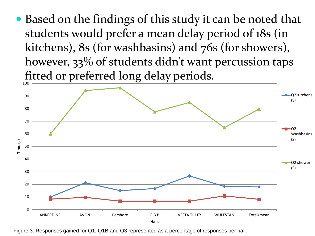Based on the findings of this study it can be noted that students would prefer a mean delay period of 18s (in kitchens), 8s (for washbasins) and 76s (for showers), however, 33% of students didn't want percussion taps fitted or preferred long delay periods.



Figure 3: Responses gained for Q1, Q1B and Q3 represented as a percentage of responses per hall.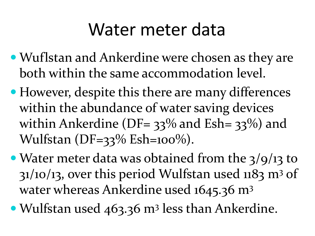### Water meter data

- Wuflstan and Ankerdine were chosen as they are both within the same accommodation level.
- However, despite this there are many differences within the abundance of water saving devices within Ankerdine (DF=  $33\%$  and Esh=  $33\%$ ) and Wulfstan  $(DF=33\%$  Esh= $100\%$ ).
- Water meter data was obtained from the 3/9/13 to  $31/10/13$ , over this period Wulfstan used 1183 m<sup>3</sup> of water whereas Ankerdine used 1645.36 m<sup>3</sup>
- Wulfstan used 463.36 m<sup>3</sup> less than Ankerdine.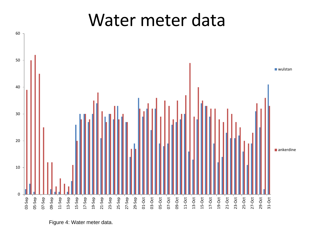#### Water meter data



Figure 4: Water meter data.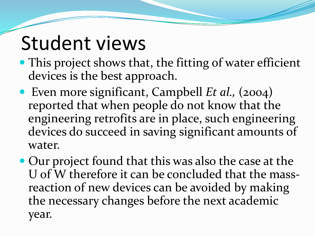### Student views

- This project shows that, the fitting of water efficient devices is the best approach.
- Even more significant, Campbell *Et al.,* (2004) reported that when people do not know that the engineering retrofits are in place, such engineering devices do succeed in saving significant amounts of water.
- Our project found that this was also the case at the U of W therefore it can be concluded that the massreaction of new devices can be avoided by making the necessary changes before the next academic year.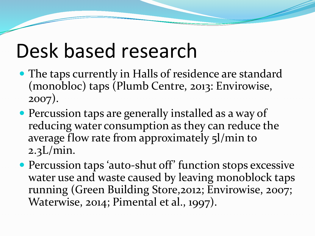### Desk based research

- The taps currently in Halls of residence are standard (monobloc) taps (Plumb Centre, 2013: Envirowise, 2007).
- Percussion taps are generally installed as a way of reducing water consumption as they can reduce the average flow rate from approximately 5l/min to 2.3L/min.
- Percussion taps 'auto-shut off' function stops excessive water use and waste caused by leaving monoblock taps running (Green Building Store,2012; Envirowise, 2007; Waterwise, 2014; Pimental et al., 1997).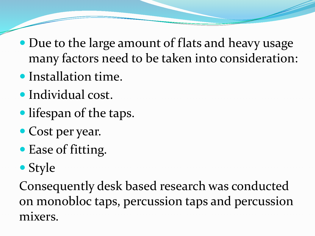- Due to the large amount of flats and heavy usage many factors need to be taken into consideration:
- Installation time.
- Individual cost.
- lifespan of the taps.
- Cost per year.
- Ease of fitting.
- Style

Consequently desk based research was conducted on monobloc taps, percussion taps and percussion mixers.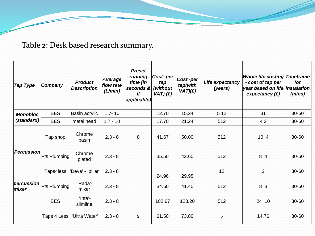Table 2: Desk based research summary.

| <b>Tap Type</b>     | Company      | <b>Product</b><br><b>Description</b> | Average<br>flow rate<br>(L/min) | <b>Preset</b><br>running<br>time (in<br>seconds &<br>if<br>applicable) | Cost-per<br>tap<br>(without<br>$VAT)$ $(f)$ | Cost-per<br>tap(with<br>VAT)(E) | Life expectancy<br>(years) | <b>Whole life costing Timeframe</b><br>- cost of tap per<br>year based on life instalation<br>expectancy $(E)$ | for<br>(mins) |
|---------------------|--------------|--------------------------------------|---------------------------------|------------------------------------------------------------------------|---------------------------------------------|---------------------------------|----------------------------|----------------------------------------------------------------------------------------------------------------|---------------|
| <b>Monobloc</b>     | <b>BES</b>   | Basin acrylic                        | $1.7 - 10$                      |                                                                        | 12.70                                       | 15.24                           | 5 1 2                      | 31                                                                                                             | 30-60         |
| (standard)          | <b>BES</b>   | metal head                           | $1.7 - 10$                      |                                                                        | 17.70                                       | 21.24                           | 512                        | 42                                                                                                             | 30-60         |
| Percussion          | Tap shop     | Chrome<br>basin                      | $2.3 - 8$                       | 8                                                                      | 41.67                                       | 50.00                           | 512                        | 10 4                                                                                                           | 30-60         |
|                     | Pts Plumbing | Chrome<br>plated                     | $2.3 - 8$                       |                                                                        | 35.50                                       | 42.60                           | 512                        | 8 4                                                                                                            | 30-60         |
|                     | Taps4less    | 'Deva' - pillar                      | $2.3 - 8$                       |                                                                        | 24.96                                       | 29.95                           | 12                         | 2                                                                                                              | 30-60         |
| percussion<br>mixer | Pts Plumbing | 'Rada'-<br>mixer                     | $2.3 - 8$                       |                                                                        | 34.50                                       | 41.40                           | 512                        | 8 3                                                                                                            | 30-60         |
|                     | <b>BES</b>   | 'Inta'-<br>slimline                  | $2.3 - 8$                       |                                                                        | 102.67                                      | 123.20                          | 512                        | 24 10                                                                                                          | 30-60         |
|                     | Taps 4 Less  | 'Ultra Water'                        | $2.3 - 8$                       | 9                                                                      | 61.50                                       | 73.80                           | 5                          | 14.76                                                                                                          | 30-60         |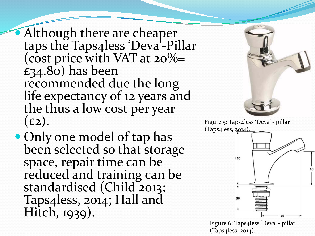Although there are cheaper taps the Taps4less 'Deva'-Pillar (cost price with VAT at 20%=  $£34.80$ ) has been recommended due the long life expectancy of 12 years and the thus a low cost per year  $(E2)$ .

 Only one model of tap has been selected so that storage space, repair time can be reduced and training can be standardised (Child 2013; Taps4less, 2014; Hall and Hitch, 1939).





Figure 6: Taps4less 'Deva' - pillar (Taps4less, 2014).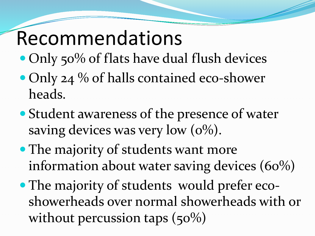### Recommendations

- Only 50% of flats have dual flush devices
- Only 24 % of halls contained eco-shower heads.
- Student awareness of the presence of water saving devices was very low  $(0\%)$ .
- The majority of students want more information about water saving devices (60%)
- The majority of students would prefer ecoshowerheads over normal showerheads with or without percussion taps  $(50\%)$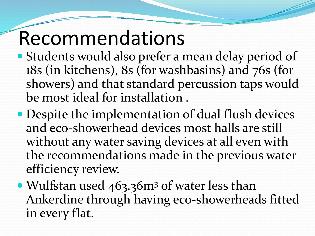## Recommendations

- Students would also prefer a mean delay period of 18s (in kitchens), 8s (for washbasins) and 76s (for showers) and that standard percussion taps would be most ideal for installation .
- Despite the implementation of dual flush devices and eco-showerhead devices most halls are still without any water saving devices at all even with the recommendations made in the previous water efficiency review.
- Wulfstan used 463.36m<sup>3</sup> of water less than Ankerdine through having eco-showerheads fitted in every flat.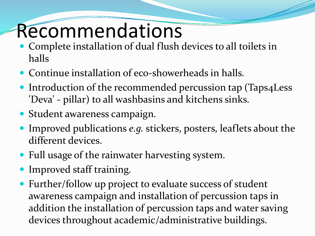### Recommendations

- Complete installation of dual flush devices to all toilets in halls
- Continue installation of eco-showerheads in halls.
- Introduction of the recommended percussion tap (Taps4Less 'Deva' - pillar) to all washbasins and kitchens sinks.
- Student awareness campaign.
- Improved publications *e.g.* stickers, posters, leaflets about the different devices.
- Full usage of the rainwater harvesting system.
- Improved staff training.
- Further/follow up project to evaluate success of student awareness campaign and installation of percussion taps in addition the installation of percussion taps and water saving devices throughout academic/administrative buildings.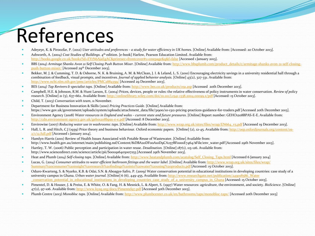# References

- Adeyeye, K. & Piroozfar, P. (2012) *User attitudes and preferences – a study for water efficiency in UK homes*. [Online] Available from: [Accessed: 20 October 2013].
- Ashworth, A. (2004) *Cost Studies of Buildings*. 4th edition. [e-book] Harlow, Pearson Education Limited. Available from: <http://books.google.co.uk/books?id=EYtN6AjaEgAC&printsec=frontcover#v=onepage&q&f=false> [Accessed 1 January 2013].
- BBS (2014) *Armitage Shanks Avon 21 Self Closing Push Button Mixer*[. \[Online\] Available from: http://www.bbsplumb.com/product\\_details/c/armitage-shanks-avon-21-self-closing](http://www.bbsplumb.com/product_details/c/armitage-shanks-avon-21-self-closing-push-button-mixer/)push-button-mixer/ [Accessed 29<sup>th</sup> December 2013].
- Bekker, M. J. & Cumming, T. D. & Osborne, N. K. & Bruining, A. M. & McClean, J. I. & Leland, L. S. (2010) Encouraging electricity savings in a university residential hall through a combination of feedback, visual prompts, and incentives. *Journal of applied behavior analysis.* [Online] 43(2), 327-331. Available from: <http://www.ncbi.nlm.nih.gov/pmc/articles/PMC2884359/> [Accessed 29 December 2013].
- BES (2014) *Tap Revivers & specialist taps*. [Online] Available from: <http://www.bes.co.uk/products/091.asp> [Accessed 20th December 2013].
- Campbell, H.E. & Johnson, R.M. & Hunt Larson, E. (2004) Prices, devices, people or rules: the relative effectiveness of policy instruments in water conservation. *Review of policy research*. [Online] 21 (5), 637-662. Available from:<http://onlinelibrary.wiley.com/doi/10.1111/j.1541-1338.2004.00099.x/pdf> [Accessed: 15 October 2013].
- Child, T. (2013) *Conversation with team*, 11 November.
- Department for Business Innovation & Skills (2010) *Pricing Practices Guide.* [Online] Available from: https://www.gov.uk/government/uploads/system/uploads/attachment\_data/file/31900/10-1312-pricing-practices-guidance-for-traders.pdf [Accessed 20th December 2013].
- Environment Agency (2008) *Water resources in England and wales – current state and future pressures*. [Online] Report number: GEHO1208BPAS-E-E. Available from: <http://cdn.environment-agency.gov.uk/geho1208bpas-e-e.pdf> [Accessed: 8 December 2013].
- Envirowise (2007) *Reducing water use in washrooms: taps*. [Online] Available from: [http://www.wrap.org.uk/sites/files/wrap/EN664\\_v5.pdf](http://www.wrap.org.uk/sites/files/wrap/EN664_v5.pdf) [Accessed 19 December 2013].
- [Hall, L. R. and Hitch, C.J \(1939\) Price theory and business behaviour. Oxford economic papers. \[Online\] \(2\), 12-45. Available from: http://oep.oxfordjournals.org/content/os-](http://oep.oxfordjournals.org/content/os-2/1/12.full.pdf)2/1/12.full.pdf [Accessed 1 January 2014].
- Hamlyn-Harris (2001) Review of Health Issues Associated with Potable Reuse of Wastewater. [Online] Available from: http://www.health.gov.au/internet/main/publishing.nsf/Content/81DBA2oDFooA1oD9CA257BF0001E7464/\$File/env\_water.pdf [Accessed 29th November 2013].
- Hartley, T. W. (2006) Public perception and participation in water reuse. *Desalination.* [Online] *187*(1), 115-126. Available from: http://www.sciencedirect.com/science/article/pii/S0011916405007253 [Accessed 29th November 2013].
- Heat and Plumb (2014) *Self-closing taps*. [Online] Available from: [http://www.heatandplumb.com/acatalog/Self\\_Closing\\_Taps.html](http://www.heatandplumb.com/acatalog/Self_Closing_Taps.html) [Accessed 6 January 2014]
- Lucas, G. (2014) *Consumer attitudes to water efficient bathroom fittings and the water label*. [Online] Available from: http://www.wrap.org.uk/sites/files/wrap/ [Summary%20consumer%20insight%20research%20findings%20into%20water%20using%20products.pdf](http://www.wrap.org.uk/sites/files/wrap/%20Summary%20consumer%20insight%20research%20findings%20into%20water%20using%20products.pdf) [Accessed: 15 October 2013].
- Oduro-Kwarteng, S. & Nyarko, K.B. & Odai, S.N. & Aboagye-Safro, P. (2009) Water conservation potential in educational institutions in developing countries: case study of a university campus in Ghana. *Urban water journal.* [Online] 6 (6), 449-455. Available from: http://www.researchgate.net/publication/249018586\_Water conservation potential in educational institutions in developing countries case study of a university campus in Ghana [Accessed: 15 October 2013].
- Pimentel, D. & Houser, J. & Preiss, E. & White, O. & Fang, H. & Mesnick, L. & Alpert, S. (1997) Water resources: agriculture, the environment, and society. *BioScience*. [Online] 47(2), 97-106. Available from:<http://www.kysq.org/docs/Pimentel97.pdf> [Accessed 30th December 2013].
- Plumb Centre (2013) *Monobloc taps*. [Online] Available from: <http://www.plumbcenter.co.uk/en/bathrooms/taps/monobloc-taps/> [Accessed 20th December 2013]